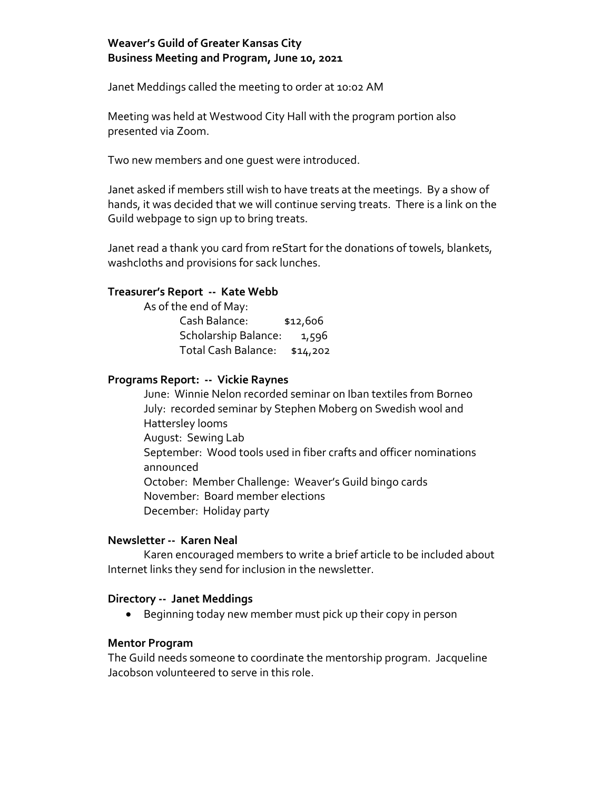## **Weaver's Guild of Greater Kansas City Business Meeting and Program, June 10, 2021**

Janet Meddings called the meeting to order at 10:02 AM

Meeting was held at Westwood City Hall with the program portion also presented via Zoom.

Two new members and one guest were introduced.

Janet asked if members still wish to have treats at the meetings. By a show of hands, it was decided that we will continue serving treats. There is a link on the Guild webpage to sign up to bring treats.

Janet read a thank you card from reStart for the donations of towels, blankets, washcloths and provisions for sack lunches.

### **Treasurer's Report -- Kate Webb**

As of the end of May: Cash Balance: \$12,606 Scholarship Balance: 1,596 Total Cash Balance: \$14,202

#### **Programs Report: -- Vickie Raynes**

June: Winnie Nelon recorded seminar on Iban textiles from Borneo July: recorded seminar by Stephen Moberg on Swedish wool and Hattersley looms August: Sewing Lab September: Wood tools used in fiber crafts and officer nominations announced October: Member Challenge: Weaver's Guild bingo cards November: Board member elections December: Holiday party

### **Newsletter -- Karen Neal**

Karen encouraged members to write a brief article to be included about Internet links they send for inclusion in the newsletter.

### **Directory -- Janet Meddings**

Beginning today new member must pick up their copy in person

#### **Mentor Program**

The Guild needs someone to coordinate the mentorship program. Jacqueline Jacobson volunteered to serve in this role.